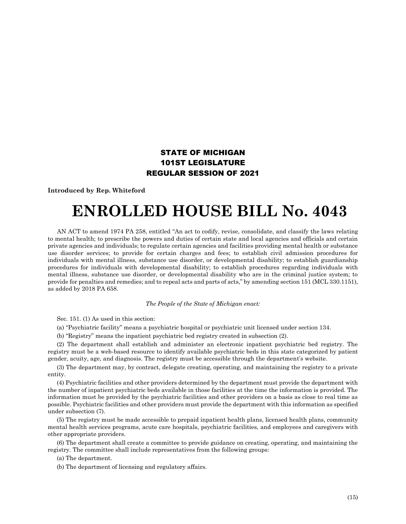## STATE OF MICHIGAN 101ST LEGISLATURE REGULAR SESSION OF 2021

**Introduced by Rep. Whiteford**

## **ENROLLED HOUSE BILL No. 4043**

AN ACT to amend 1974 PA 258, entitled "An act to codify, revise, consolidate, and classify the laws relating to mental health; to prescribe the powers and duties of certain state and local agencies and officials and certain private agencies and individuals; to regulate certain agencies and facilities providing mental health or substance use disorder services; to provide for certain charges and fees; to establish civil admission procedures for individuals with mental illness, substance use disorder, or developmental disability; to establish guardianship procedures for individuals with developmental disability; to establish procedures regarding individuals with mental illness, substance use disorder, or developmental disability who are in the criminal justice system; to provide for penalties and remedies; and to repeal acts and parts of acts," by amending section 151 (MCL 330.1151), as added by 2018 PA 658.

## *The People of the State of Michigan enact:*

Sec. 151. (1) As used in this section:

(a) "Psychiatric facility" means a psychiatric hospital or psychiatric unit licensed under section 134.

(b) "Registry" means the inpatient psychiatric bed registry created in subsection (2).

(2) The department shall establish and administer an electronic inpatient psychiatric bed registry. The registry must be a web-based resource to identify available psychiatric beds in this state categorized by patient gender, acuity, age, and diagnosis. The registry must be accessible through the department's website.

(3) The department may, by contract, delegate creating, operating, and maintaining the registry to a private entity.

(4) Psychiatric facilities and other providers determined by the department must provide the department with the number of inpatient psychiatric beds available in those facilities at the time the information is provided. The information must be provided by the psychiatric facilities and other providers on a basis as close to real time as possible. Psychiatric facilities and other providers must provide the department with this information as specified under subsection (7).

(5) The registry must be made accessible to prepaid inpatient health plans, licensed health plans, community mental health services programs, acute care hospitals, psychiatric facilities, and employees and caregivers with other appropriate providers.

(6) The department shall create a committee to provide guidance on creating, operating, and maintaining the registry. The committee shall include representatives from the following groups:

(a) The department.

(b) The department of licensing and regulatory affairs.